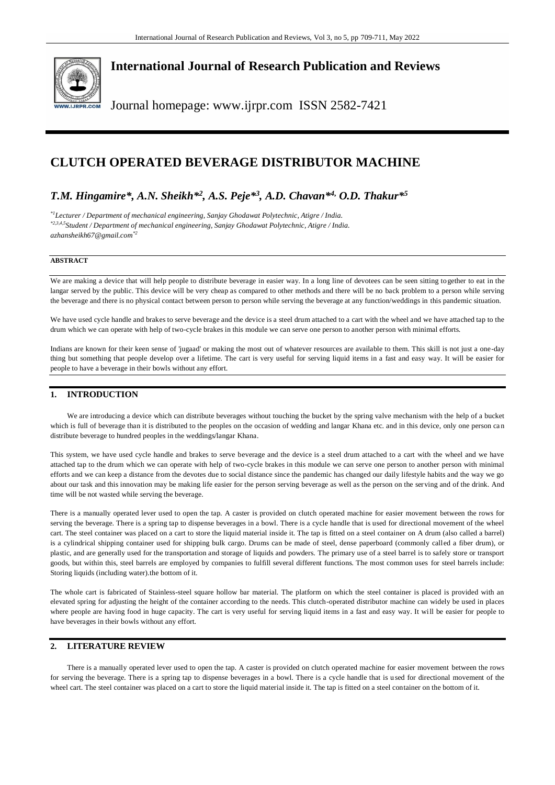

# **International Journal of Research Publication and Reviews**

Journal homepage: www.ijrpr.com ISSN 2582-7421

# **CLUTCH OPERATED BEVERAGE DISTRIBUTOR MACHINE**

# *T.M. Hingamire\*, A.N. Sheikh\*<sup>2</sup> , A.S. Peje\*<sup>3</sup> , A.D. Chavan\*4, O.D. Thakur\* 5*

*\*1Lecturer / Department of mechanical engineering, Sanjay Ghodawat Polytechnic, Atigre / India. \*2,3,4,5Student / Department of mechanical engineering, Sanjay Ghodawat Polytechnic, Atigre / India. [azhansheikh67@gmail.com](mailto:azhansheikh67@gmail.com*2)\*2*

### **ABSTRACT**

We are making a device that will help people to distribute beverage in easier way. In a long line of devotees can be seen sitting together to eat in the langar served by the public. This device will be very cheap as compared to other methods and there will be no back problem to a person while serving the beverage and there is no physical contact between person to person while serving the beverage at any function/weddings in this pandemic situation.

We have used cycle handle and brakes to serve beverage and the device is a steel drum attached to a cart with the wheel and we have attached tap to the drum which we can operate with help of two-cycle brakes in this module we can serve one person to another person with minimal efforts.

Indians are known for their keen sense of 'jugaad' or making the most out of whatever resources are available to them. This skill is not just a one-day thing but something that people develop over a lifetime. The cart is very useful for serving liquid items in a fast and easy way. It will be easier for people to have a beverage in their bowls without any effort.

## **1. INTRODUCTION**

We are introducing a device which can distribute beverages without touching the bucket by the spring valve mechanism with the help of a bucket which is full of beverage than it is distributed to the peoples on the occasion of wedding and langar Khana etc. and in this device, only one person can distribute beverage to hundred peoples in the weddings/langar Khana.

This system, we have used cycle handle and brakes to serve beverage and the device is a steel drum attached to a cart with the wheel and we have attached tap to the drum which we can operate with help of two-cycle brakes in this module we can serve one person to another person with minimal efforts and we can keep a distance from the devotes due to social distance since the pandemic has changed our daily lifestyle habits and the way we go about our task and this innovation may be making life easier for the person serving beverage as well as the person on the serving and of the drink. And time will be not wasted while serving the beverage.

There is a manually operated lever used to open the tap. A caster is provided on clutch operated machine for easier movement between the rows for serving the beverage. There is a spring tap to dispense beverages in a bowl. There is a cycle handle that is used for directional movement of the wheel cart. The steel container was placed on a cart to store the liquid material inside it. The tap is fitted on a steel container on A drum (also called a barrel) is a cylindrical shipping container used for shipping bulk cargo. Drums can be made of steel, dense paperboard (commonly called a fiber drum), or plastic, and are generally used for the transportation and storage of liquids and powders. The primary use of a steel barrel is to safely store or transport goods, but within this, steel barrels are employed by companies to fulfill several different functions. The most common uses for steel barrels include: Storing liquids (including water).the bottom of it.

The whole cart is fabricated of Stainless-steel square hollow bar material. The platform on which the steel container is placed is provided with an elevated spring for adjusting the height of the container according to the needs. This clutch-operated distributor machine can widely be used in places where people are having food in huge capacity. The cart is very useful for serving liquid items in a fast and easy way. It will be easier for people to have beverages in their bowls without any effort.

## **2. LITERATURE REVIEW**

There is a manually operated lever used to open the tap. A caster is provided on clutch operated machine for easier movement between the rows for serving the beverage. There is a spring tap to dispense beverages in a bowl. There is a cycle handle that is u sed for directional movement of the wheel cart. The steel container was placed on a cart to store the liquid material inside it. The tap is fitted on a steel container on the bottom of it.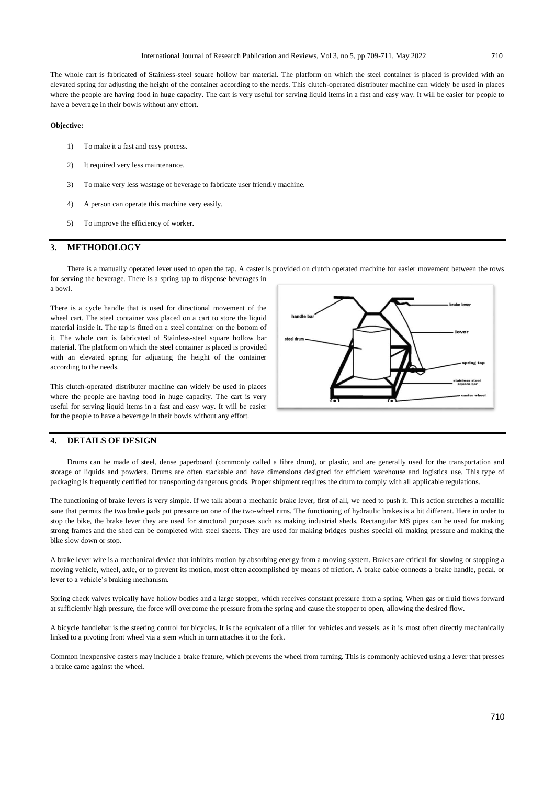The whole cart is fabricated of Stainless-steel square hollow bar material. The platform on which the steel container is placed is provided with an elevated spring for adjusting the height of the container according to the needs. This clutch-operated distributer machine can widely be used in places where the people are having food in huge capacity. The cart is very useful for serving liquid items in a fast and easy way. It will be easier for people to have a beverage in their bowls without any effort.

#### **Objective:**

- 1) To make it a fast and easy process.
- 2) It required very less maintenance.
- 3) To make very less wastage of beverage to fabricate user friendly machine.
- 4) A person can operate this machine very easily.
- 5) To improve the efficiency of worker.

#### **3. METHODOLOGY**

There is a manually operated lever used to open the tap. A caster is provided on clutch operated machine for easier movement between the rows for serving the beverage. There is a spring tap to dispense beverages in a bowl.

There is a cycle handle that is used for directional movement of the wheel cart. The steel container was placed on a cart to store the liquid material inside it. The tap is fitted on a steel container on the bottom of it. The whole cart is fabricated of Stainless-steel square hollow bar material. The platform on which the steel container is placed is provided with an elevated spring for adjusting the height of the container according to the needs.

This clutch-operated distributer machine can widely be used in places where the people are having food in huge capacity. The cart is very useful for serving liquid items in a fast and easy way. It will be easier for the people to have a beverage in their bowls without any effort.



### **4. DETAILS OF DESIGN**

Drums can be made of steel, dense paperboard (commonly called a fibre drum), or plastic, and are generally used for the transportation and storage of liquids and powders. Drums are often stackable and have dimensions designed for efficient warehouse and logistics use. This type of packaging is frequently certified for transporting dangerous goods. Proper shipment requires the drum to comply with all applicable regulations.

The functioning of brake levers is very simple. If we talk about a mechanic brake lever, first of all, we need to push it. This action stretches a metallic sane that permits the two brake pads put pressure on one of the two-wheel rims. The functioning of hydraulic brakes is a bit different. Here in order to stop the bike, the brake lever they are used for structural purposes such as making industrial sheds. Rectangular MS pipes can be used for making strong frames and the shed can be completed with steel sheets. They are used for making bridges pushes special oil making pressure and making the bike slow down or stop.

A brake lever wire is a mechanical device that inhibits motion by absorbing energy from a moving system. Brakes are critical for slowing or stopping a moving vehicle, wheel, axle, or to prevent its motion, most often accomplished by means of friction. A brake cable connects a brake handle, pedal, or lever to a vehicle's braking mechanism.

Spring check valves typically have hollow bodies and a large stopper, which receives constant pressure from a spring. When gas or fluid flows forward at sufficiently high pressure, the force will overcome the pressure from the spring and cause the stopper to open, allowing the desired flow.

A bicycle handlebar is the steering control for bicycles. It is the equivalent of a tiller for vehicles and vessels, as it is most often directly mechanically linked to a pivoting front wheel via a stem which in turn attaches it to the fork.

Common inexpensive casters may include a brake feature, which prevents the wheel from turning. This is commonly achieved using a lever that presses a brake came against the wheel.